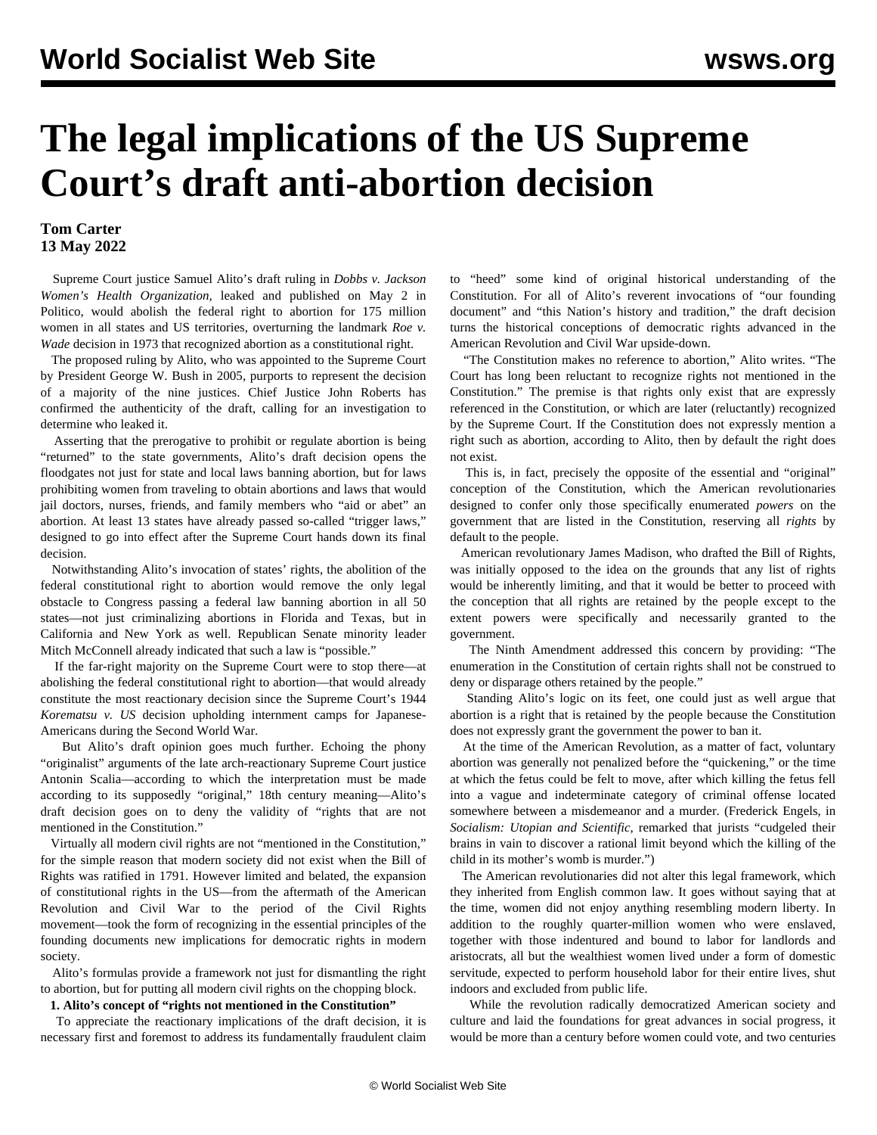# **The legal implications of the US Supreme Court's draft anti-abortion decision**

### **Tom Carter 13 May 2022**

 Supreme Court justice Samuel Alito's draft ruling in *Dobbs v. Jackson Women's Health Organization,* leaked and published on May 2 in Politico, would abolish the federal right to abortion for 175 million women in all states and US territories, overturning the landmark *Roe v. Wade* decision in 1973 that recognized abortion as a constitutional right.

 The proposed ruling by Alito, who was appointed to the Supreme Court by President George W. Bush in 2005, purports to represent the decision of a majority of the nine justices. Chief Justice John Roberts has confirmed the authenticity of the draft, calling for an investigation to determine who leaked it.

 Asserting that the prerogative to prohibit or regulate abortion is being "returned" to the state governments, Alito's draft decision opens the floodgates not just for state and local laws banning abortion, but for laws prohibiting women from traveling to obtain abortions and laws that would jail doctors, nurses, friends, and family members who "aid or abet" an abortion. At least 13 states have already passed so-called "trigger laws," designed to go into effect after the Supreme Court hands down its final decision.

 Notwithstanding Alito's invocation of states' rights, the abolition of the federal constitutional right to abortion would remove the only legal obstacle to Congress passing a federal law banning abortion in all 50 states—not just criminalizing abortions in Florida and Texas, but in California and New York as well. Republican Senate minority leader Mitch McConnell already indicated that such a law is "possible."

 If the far-right majority on the Supreme Court were to stop there—at abolishing the federal constitutional right to abortion—that would already constitute the most reactionary decision since the Supreme Court's 1944 *Korematsu v. US* decision upholding internment camps for Japanese-Americans during the Second World War.

 But Alito's draft opinion goes much further. Echoing the phony "originalist" arguments of the late arch-reactionary Supreme Court justice Antonin Scalia—according to which the interpretation must be made according to its supposedly "original," 18th century meaning—Alito's draft decision goes on to deny the validity of "rights that are not mentioned in the Constitution."

 Virtually all modern civil rights are not "mentioned in the Constitution," for the simple reason that modern society did not exist when the Bill of Rights was ratified in 1791. However limited and belated, the expansion of constitutional rights in the US—from the aftermath of the American Revolution and Civil War to the period of the Civil Rights movement—took the form of recognizing in the essential principles of the founding documents new implications for democratic rights in modern society.

 Alito's formulas provide a framework not just for dismantling the right to abortion, but for putting all modern civil rights on the chopping block.

#### **1. Alito's concept of "rights not mentioned in the Constitution"**

 To appreciate the reactionary implications of the draft decision, it is necessary first and foremost to address its fundamentally fraudulent claim

to "heed" some kind of original historical understanding of the Constitution. For all of Alito's reverent invocations of "our founding document" and "this Nation's history and tradition," the draft decision turns the historical conceptions of democratic rights advanced in the American Revolution and Civil War upside-down.

 "The Constitution makes no reference to abortion," Alito writes. "The Court has long been reluctant to recognize rights not mentioned in the Constitution." The premise is that rights only exist that are expressly referenced in the Constitution, or which are later (reluctantly) recognized by the Supreme Court. If the Constitution does not expressly mention a right such as abortion, according to Alito, then by default the right does not exist.

 This is, in fact, precisely the opposite of the essential and "original" conception of the Constitution, which the American revolutionaries designed to confer only those specifically enumerated *powers* on the government that are listed in the Constitution, reserving all *rights* by default to the people.

 American revolutionary James Madison, who drafted the Bill of Rights, was initially opposed to the idea on the grounds that any list of rights would be inherently limiting, and that it would be better to proceed with the conception that all rights are retained by the people except to the extent powers were specifically and necessarily granted to the government.

 The Ninth Amendment addressed this concern by providing: "The enumeration in the Constitution of certain rights shall not be construed to deny or disparage others retained by the people."

 Standing Alito's logic on its feet, one could just as well argue that abortion is a right that is retained by the people because the Constitution does not expressly grant the government the power to ban it.

 At the time of the American Revolution, as a matter of fact, voluntary abortion was generally not penalized before the "quickening," or the time at which the fetus could be felt to move, after which killing the fetus fell into a vague and indeterminate category of criminal offense located somewhere between a misdemeanor and a murder. (Frederick Engels, in *Socialism: Utopian and Scientific*, remarked that jurists "cudgeled their brains in vain to discover a rational limit beyond which the killing of the child in its mother's womb is murder.")

 The American revolutionaries did not alter this legal framework, which they inherited from English common law. It goes without saying that at the time, women did not enjoy anything resembling modern liberty. In addition to the roughly quarter-million women who were enslaved, together with those indentured and bound to labor for landlords and aristocrats, all but the wealthiest women lived under a form of domestic servitude, expected to perform household labor for their entire lives, shut indoors and excluded from public life.

 While the revolution radically democratized American society and culture and laid the foundations for great advances in social progress, it would be more than a century before women could vote, and two centuries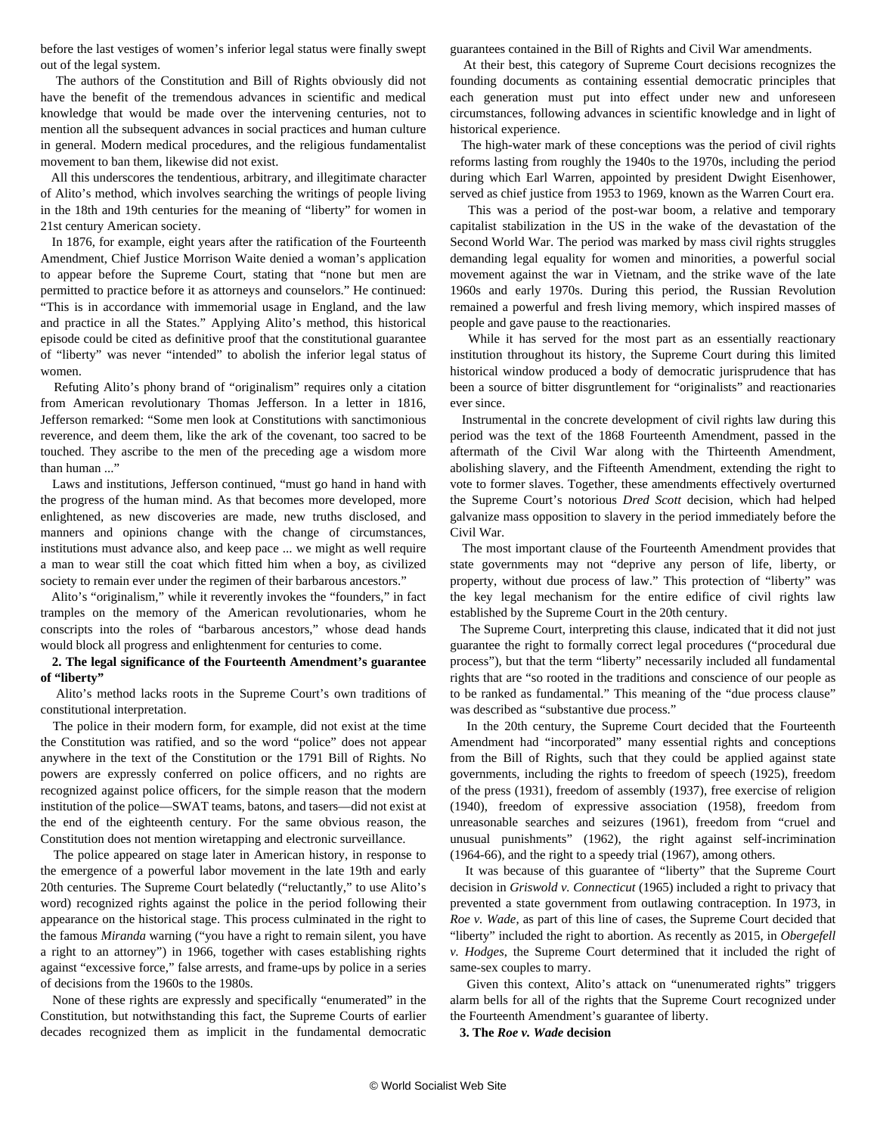before the last vestiges of women's inferior legal status were finally swept out of the legal system.

 The authors of the Constitution and Bill of Rights obviously did not have the benefit of the tremendous advances in scientific and medical knowledge that would be made over the intervening centuries, not to mention all the subsequent advances in social practices and human culture in general. Modern medical procedures, and the religious fundamentalist movement to ban them, likewise did not exist.

 All this underscores the tendentious, arbitrary, and illegitimate character of Alito's method, which involves searching the writings of people living in the 18th and 19th centuries for the meaning of "liberty" for women in 21st century American society.

 In 1876, for example, eight years after the ratification of the Fourteenth Amendment, Chief Justice Morrison Waite denied a woman's application to appear before the Supreme Court, stating that "none but men are permitted to practice before it as attorneys and counselors." He continued: "This is in accordance with immemorial usage in England, and the law and practice in all the States." Applying Alito's method, this historical episode could be cited as definitive proof that the constitutional guarantee of "liberty" was never "intended" to abolish the inferior legal status of women.

 Refuting Alito's phony brand of "originalism" requires only a citation from American revolutionary Thomas Jefferson. In a letter in 1816, Jefferson remarked: "Some men look at Constitutions with sanctimonious reverence, and deem them, like the ark of the covenant, too sacred to be touched. They ascribe to the men of the preceding age a wisdom more than human ..."

 Laws and institutions, Jefferson continued, "must go hand in hand with the progress of the human mind. As that becomes more developed, more enlightened, as new discoveries are made, new truths disclosed, and manners and opinions change with the change of circumstances, institutions must advance also, and keep pace ... we might as well require a man to wear still the coat which fitted him when a boy, as civilized society to remain ever under the regimen of their barbarous ancestors."

 Alito's "originalism," while it reverently invokes the "founders," in fact tramples on the memory of the American revolutionaries, whom he conscripts into the roles of "barbarous ancestors," whose dead hands would block all progress and enlightenment for centuries to come.

#### **2. The legal significance of the Fourteenth Amendment's guarantee of "liberty"**

 Alito's method lacks roots in the Supreme Court's own traditions of constitutional interpretation.

 The police in their modern form, for example, did not exist at the time the Constitution was ratified, and so the word "police" does not appear anywhere in the text of the Constitution or the 1791 Bill of Rights. No powers are expressly conferred on police officers, and no rights are recognized against police officers, for the simple reason that the modern institution of the police—SWAT teams, batons, and tasers—did not exist at the end of the eighteenth century. For the same obvious reason, the Constitution does not mention wiretapping and electronic surveillance.

 The police appeared on stage later in American history, in response to the emergence of a powerful labor movement in the late 19th and early 20th centuries. The Supreme Court belatedly ("reluctantly," to use Alito's word) recognized rights against the police in the period following their appearance on the historical stage. This process culminated in the right to the famous *Miranda* warning ("you have a right to remain silent, you have a right to an attorney") in 1966, together with cases establishing rights against "excessive force," false arrests, and frame-ups by police in a series of decisions from the 1960s to the 1980s.

 None of these rights are expressly and specifically "enumerated" in the Constitution, but notwithstanding this fact, the Supreme Courts of earlier decades recognized them as implicit in the fundamental democratic guarantees contained in the Bill of Rights and Civil War amendments.

 At their best, this category of Supreme Court decisions recognizes the founding documents as containing essential democratic principles that each generation must put into effect under new and unforeseen circumstances, following advances in scientific knowledge and in light of historical experience.

 The high-water mark of these conceptions was the period of civil rights reforms lasting from roughly the 1940s to the 1970s, including the period during which Earl Warren, appointed by president Dwight Eisenhower, served as chief justice from 1953 to 1969, known as the Warren Court era.

 This was a period of the post-war boom, a relative and temporary capitalist stabilization in the US in the wake of the devastation of the Second World War. The period was marked by mass civil rights struggles demanding legal equality for women and minorities, a powerful social movement against the war in Vietnam, and the strike wave of the late 1960s and early 1970s. During this period, the Russian Revolution remained a powerful and fresh living memory, which inspired masses of people and gave pause to the reactionaries.

 While it has served for the most part as an essentially reactionary institution throughout its history, the Supreme Court during this limited historical window produced a body of democratic jurisprudence that has been a source of bitter disgruntlement for "originalists" and reactionaries ever since.

 Instrumental in the concrete development of civil rights law during this period was the text of the 1868 Fourteenth Amendment, passed in the aftermath of the Civil War along with the Thirteenth Amendment, abolishing slavery, and the Fifteenth Amendment, extending the right to vote to former slaves. Together, these amendments effectively overturned the Supreme Court's notorious *Dred Scott* decision, which had helped galvanize mass opposition to slavery in the period immediately before the Civil War.

 The most important clause of the Fourteenth Amendment provides that state governments may not "deprive any person of life, liberty, or property, without due process of law." This protection of "liberty" was the key legal mechanism for the entire edifice of civil rights law established by the Supreme Court in the 20th century.

 The Supreme Court, interpreting this clause, indicated that it did not just guarantee the right to formally correct legal procedures ("procedural due process"), but that the term "liberty" necessarily included all fundamental rights that are "so rooted in the traditions and conscience of our people as to be ranked as fundamental." This meaning of the "due process clause" was described as "substantive due process."

 In the 20th century, the Supreme Court decided that the Fourteenth Amendment had "incorporated" many essential rights and conceptions from the Bill of Rights, such that they could be applied against state governments, including the rights to freedom of speech (1925), freedom of the press (1931), freedom of assembly (1937), free exercise of religion (1940), freedom of expressive association (1958), freedom from unreasonable searches and seizures (1961), freedom from "cruel and unusual punishments" (1962), the right against self-incrimination (1964-66), and the right to a speedy trial (1967), among others.

 It was because of this guarantee of "liberty" that the Supreme Court decision in *Griswold v. Connecticut* (1965) included a right to privacy that prevented a state government from outlawing contraception. In 1973, in *Roe v. Wade*, as part of this line of cases, the Supreme Court decided that "liberty" included the right to abortion. As recently as 2015, in *Obergefell v. Hodges*, the Supreme Court determined that it included the right of same-sex couples to marry.

 Given this context, Alito's attack on "unenumerated rights" triggers alarm bells for all of the rights that the Supreme Court recognized under the Fourteenth Amendment's guarantee of liberty.

**3. The** *Roe v. Wade* **decision**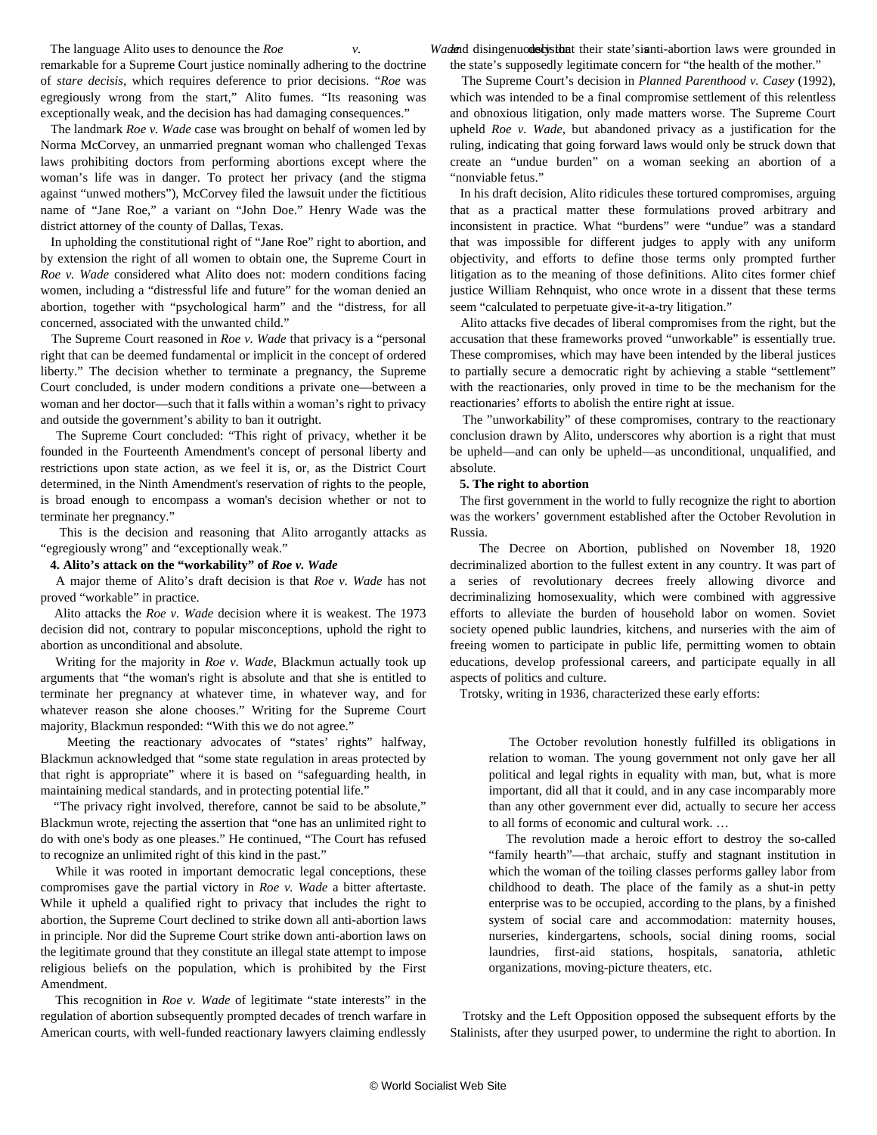The language Alito uses to denounce the *Roe v*. remarkable for a Supreme Court justice nominally adhering to the doctrine of *stare decisis*, which requires deference to prior decisions. "*Roe* was egregiously wrong from the start," Alito fumes. "Its reasoning was exceptionally weak, and the decision has had damaging consequences."

 The landmark *Roe v. Wade* case was brought on behalf of women led by Norma McCorvey, an unmarried pregnant woman who challenged Texas laws prohibiting doctors from performing abortions except where the woman's life was in danger. To protect her privacy (and the stigma against "unwed mothers"), McCorvey filed the lawsuit under the fictitious name of "Jane Roe," a variant on "John Doe." Henry Wade was the district attorney of the county of Dallas, Texas.

 In upholding the constitutional right of "Jane Roe" right to abortion, and by extension the right of all women to obtain one, the Supreme Court in *Roe v. Wade* considered what Alito does not: modern conditions facing women, including a "distressful life and future" for the woman denied an abortion, together with "psychological harm" and the "distress, for all concerned, associated with the unwanted child."

 The Supreme Court reasoned in *Roe v. Wade* that privacy is a "personal right that can be deemed fundamental or implicit in the concept of ordered liberty." The decision whether to terminate a pregnancy, the Supreme Court concluded, is under modern conditions a private one—between a woman and her doctor—such that it falls within a woman's right to privacy and outside the government's ability to ban it outright.

 The Supreme Court concluded: "This right of privacy, whether it be founded in the Fourteenth Amendment's concept of personal liberty and restrictions upon state action, as we feel it is, or, as the District Court determined, in the Ninth Amendment's reservation of rights to the people, is broad enough to encompass a woman's decision whether or not to terminate her pregnancy."

 This is the decision and reasoning that Alito arrogantly attacks as "egregiously wrong" and "exceptionally weak."

#### **4. Alito's attack on the "workability" of** *Roe v. Wade*

 A major theme of Alito's draft decision is that *Roe v. Wade* has not proved "workable" in practice.

 Alito attacks the *Roe v. Wade* decision where it is weakest. The 1973 decision did not, contrary to popular misconceptions, uphold the right to abortion as unconditional and absolute.

 Writing for the majority in *Roe v. Wade*, Blackmun actually took up arguments that "the woman's right is absolute and that she is entitled to terminate her pregnancy at whatever time, in whatever way, and for whatever reason she alone chooses." Writing for the Supreme Court majority, Blackmun responded: "With this we do not agree."

 Meeting the reactionary advocates of "states' rights" halfway, Blackmun acknowledged that "some state regulation in areas protected by that right is appropriate" where it is based on "safeguarding health, in maintaining medical standards, and in protecting potential life."

 "The privacy right involved, therefore, cannot be said to be absolute," Blackmun wrote, rejecting the assertion that "one has an unlimited right to do with one's body as one pleases." He continued, "The Court has refused to recognize an unlimited right of this kind in the past."

 While it was rooted in important democratic legal conceptions, these compromises gave the partial victory in *Roe v. Wade* a bitter aftertaste. While it upheld a qualified right to privacy that includes the right to abortion, the Supreme Court declined to strike down all anti-abortion laws in principle. Nor did the Supreme Court strike down anti-abortion laws on the legitimate ground that they constitute an illegal state attempt to impose religious beliefs on the population, which is prohibited by the First Amendment.

 This recognition in *Roe v. Wade* of legitimate "state interests" in the regulation of abortion subsequently prompted decades of trench warfare in American courts, with well-funded reactionary lawyers claiming endlessly

Wadand disingenuod stysibat their state's ianti-abortion laws were grounded in the state's supposedly legitimate concern for "the health of the mother."

 The Supreme Court's decision in *Planned Parenthood v. Casey* (1992), which was intended to be a final compromise settlement of this relentless and obnoxious litigation, only made matters worse. The Supreme Court upheld *Roe v. Wade*, but abandoned privacy as a justification for the ruling, indicating that going forward laws would only be struck down that create an "undue burden" on a woman seeking an abortion of a "nonviable fetus."

 In his draft decision*,* Alito ridicules these tortured compromises, arguing that as a practical matter these formulations proved arbitrary and inconsistent in practice. What "burdens" were "undue" was a standard that was impossible for different judges to apply with any uniform objectivity, and efforts to define those terms only prompted further litigation as to the meaning of those definitions. Alito cites former chief justice William Rehnquist, who once wrote in a dissent that these terms seem "calculated to perpetuate give-it-a-try litigation."

 Alito attacks five decades of liberal compromises from the right, but the accusation that these frameworks proved "unworkable" is essentially true. These compromises, which may have been intended by the liberal justices to partially secure a democratic right by achieving a stable "settlement" with the reactionaries, only proved in time to be the mechanism for the reactionaries' efforts to abolish the entire right at issue.

 The "unworkability" of these compromises, contrary to the reactionary conclusion drawn by Alito, underscores why abortion is a right that must be upheld—and can only be upheld—as unconditional, unqualified, and absolute.

#### **5. The right to abortion**

 The first government in the world to fully recognize the right to abortion was the workers' government established after the October Revolution in Russia.

 The Decree on Abortion, published on November 18, 1920 decriminalized abortion to the fullest extent in any country. It was part of a series of revolutionary decrees freely allowing divorce and decriminalizing homosexuality, which were combined with aggressive efforts to alleviate the burden of household labor on women. Soviet society opened public laundries, kitchens, and nurseries with the aim of freeing women to participate in public life, permitting women to obtain educations, develop professional careers, and participate equally in all aspects of politics and culture.

Trotsky, writing in 1936, characterized these early efforts:

 The October revolution honestly fulfilled its obligations in relation to woman. The young government not only gave her all political and legal rights in equality with man, but, what is more important, did all that it could, and in any case incomparably more than any other government ever did, actually to secure her access to all forms of economic and cultural work. …

 The revolution made a heroic effort to destroy the so-called "family hearth"—that archaic, stuffy and stagnant institution in which the woman of the toiling classes performs galley labor from childhood to death. The place of the family as a shut-in petty enterprise was to be occupied, according to the plans, by a finished system of social care and accommodation: maternity houses, nurseries, kindergartens, schools, social dining rooms, social laundries, first-aid stations, hospitals, sanatoria, athletic organizations, moving-picture theaters, etc.

 Trotsky and the Left Opposition opposed the subsequent efforts by the Stalinists, after they usurped power, to undermine the right to abortion. In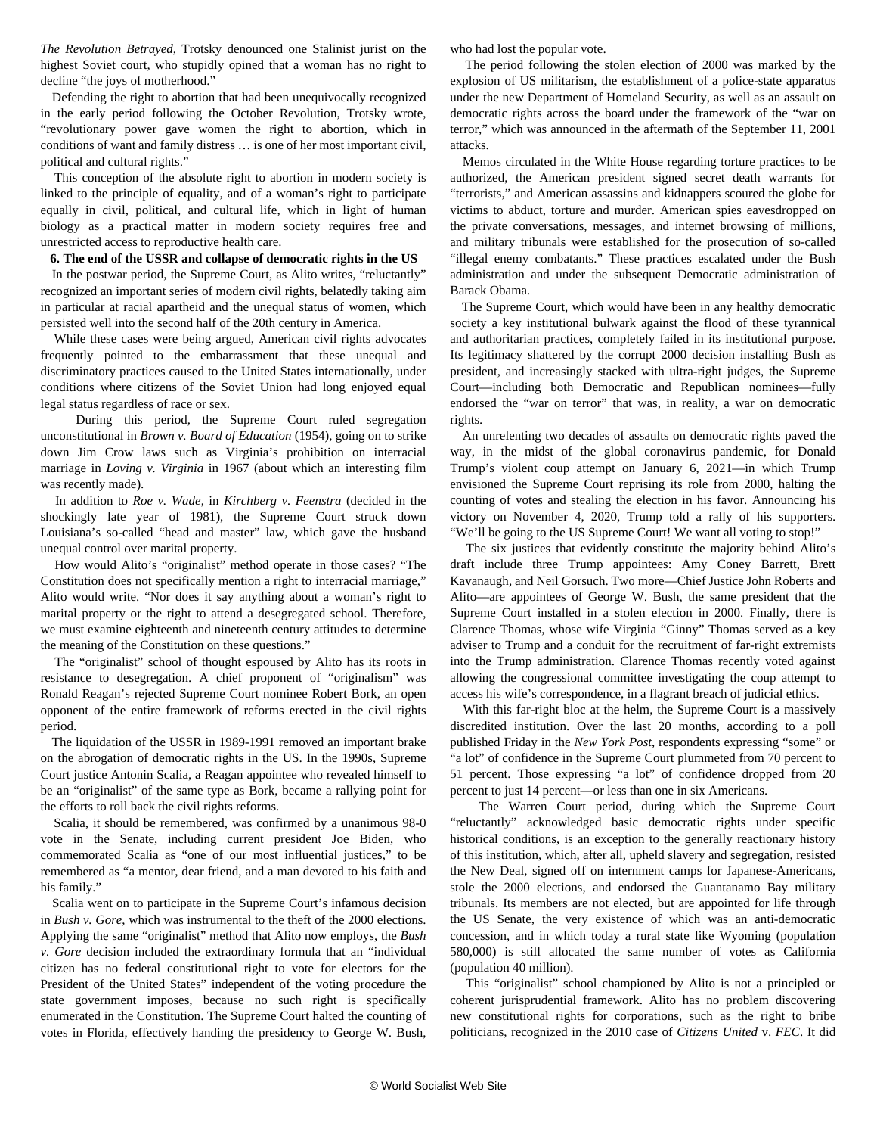*The Revolution Betrayed*, Trotsky denounced one Stalinist jurist on the highest Soviet court, who stupidly opined that a woman has no right to decline "the joys of motherhood."

 Defending the right to abortion that had been unequivocally recognized in the early period following the October Revolution, Trotsky wrote, "revolutionary power gave women the right to abortion, which in conditions of want and family distress … is one of her most important civil, political and cultural rights."

 This conception of the absolute right to abortion in modern society is linked to the principle of equality, and of a woman's right to participate equally in civil, political, and cultural life, which in light of human biology as a practical matter in modern society requires free and unrestricted access to reproductive health care.

#### **6. The end of the USSR and collapse of democratic rights in the US**

 In the postwar period, the Supreme Court, as Alito writes, "reluctantly" recognized an important series of modern civil rights, belatedly taking aim in particular at racial apartheid and the unequal status of women, which persisted well into the second half of the 20th century in America.

 While these cases were being argued, American civil rights advocates frequently pointed to the embarrassment that these unequal and discriminatory practices caused to the United States internationally, under conditions where citizens of the Soviet Union had long enjoyed equal legal status regardless of race or sex.

 During this period, the Supreme Court ruled segregation unconstitutional in *Brown v. Board of Education* (1954), going on to strike down Jim Crow laws such as Virginia's prohibition on interracial marriage in *Loving v. Virginia* in 1967 (about which an interesting [film](/en/articles/2016/11/05/lovi-n05.html) was recently made).

 In addition to *Roe v. Wade*, in *Kirchberg v. Feenstra* (decided in the shockingly late year of 1981), the Supreme Court struck down Louisiana's so-called "head and master" law, which gave the husband unequal control over marital property.

 How would Alito's "originalist" method operate in those cases? "The Constitution does not specifically mention a right to interracial marriage," Alito would write. "Nor does it say anything about a woman's right to marital property or the right to attend a desegregated school. Therefore, we must examine eighteenth and nineteenth century attitudes to determine the meaning of the Constitution on these questions."

 The "originalist" school of thought espoused by Alito has its roots in resistance to desegregation. A chief proponent of "originalism" was Ronald Reagan's rejected Supreme Court [nominee](/en/articles/2012/12/24/bork-d24.html) Robert Bork, an open opponent of the entire framework of reforms erected in the civil rights period.

 The liquidation of the USSR in 1989-1991 removed an important brake on the abrogation of democratic rights in the US. In the 1990s, Supreme Court justice Antonin Scalia, a Reagan appointee who revealed himself to be an "originalist" of the same type as Bork, became a rallying point for the efforts to roll back the civil rights reforms.

 Scalia, it should be remembered, was confirmed by a unanimous 98-0 vote in the Senate, including current president Joe Biden, who commemorated Scalia as "one of our most influential justices," to be remembered as "a mentor, dear friend, and a man devoted to his faith and his family."

 Scalia went on to participate in the Supreme Court's infamous decision in *Bush v. Gore*, which was instrumental to the theft of the 2000 elections. Applying the same "originalist" method that Alito now employs, the *Bush v. Gore* decision included the extraordinary formula that an "individual citizen has no federal constitutional right to vote for electors for the President of the United States" independent of the voting procedure the state government imposes, because no such right is specifically enumerated in the Constitution. The Supreme Court halted the counting of votes in Florida, effectively handing the presidency to George W. Bush, who had lost the popular vote.

 The period following the stolen election of 2000 was marked by the explosion of US militarism, the establishment of a police-state apparatus under the new Department of Homeland Security, as well as an assault on democratic rights across the board under the framework of the "war on terror," which was announced in the aftermath of the September 11, 2001 attacks.

 Memos circulated in the White House regarding torture practices to be authorized, the American president signed secret death warrants for "terrorists," and American assassins and kidnappers scoured the globe for victims to abduct, torture and murder. American spies eavesdropped on the private conversations, messages, and internet browsing of millions, and military tribunals were established for the prosecution of so-called "illegal enemy combatants." These practices escalated under the Bush administration and under the subsequent Democratic administration of Barack Obama.

 The Supreme Court, which would have been in any healthy democratic society a key institutional bulwark against the flood of these tyrannical and authoritarian practices, completely failed in its institutional purpose. Its legitimacy shattered by the corrupt 2000 decision installing Bush as president, and increasingly stacked with ultra-right judges, the Supreme Court—including both Democratic and Republican nominees—fully endorsed the "war on terror" that was, in reality, a war on democratic rights.

 An unrelenting two decades of assaults on democratic rights paved the way, in the midst of the global coronavirus pandemic, for Donald Trump's violent coup attempt on January 6, 2021—in which Trump envisioned the Supreme Court reprising its role from 2000, halting the counting of votes and stealing the election in his favor. Announcing his victory on November 4, 2020, Trump told a rally of his supporters. "We'll be going to the US Supreme Court! We want all voting to stop!"

 The six justices that evidently constitute the majority behind Alito's draft include three Trump appointees: Amy Coney Barrett, Brett Kavanaugh, and Neil Gorsuch. Two more—Chief Justice John Roberts and Alito—are appointees of George W. Bush, the same president that the Supreme Court installed in a stolen election in 2000. Finally, there is Clarence Thomas, whose wife Virginia "Ginny" Thomas served as a key adviser to Trump and a conduit for the recruitment of far-right extremists into the Trump administration. Clarence Thomas recently voted against allowing the congressional committee investigating the coup attempt to access his wife's correspondence, in a flagrant breach of judicial ethics.

 With this far-right bloc at the helm, the Supreme Court is a massively discredited institution. Over the last 20 months, according to a poll published Friday in the *New York Post*, respondents expressing "some" or "a lot" of confidence in the Supreme Court plummeted from 70 percent to 51 percent. Those expressing "a lot" of confidence dropped from 20 percent to just 14 percent—or less than one in six Americans.

 The Warren Court period, during which the Supreme Court "reluctantly" acknowledged basic democratic rights under specific historical conditions, is an exception to the generally reactionary history of this institution, which, after all, upheld slavery and segregation, resisted the New Deal, signed off on internment camps for Japanese-Americans, stole the 2000 elections, and endorsed the Guantanamo Bay military tribunals. Its members are not elected, but are appointed for life through the US Senate, the very existence of which was an anti-democratic concession, and in which today a rural state like Wyoming (population 580,000) is still allocated the same number of votes as California (population 40 million).

 This "originalist" school championed by Alito is not a principled or coherent jurisprudential framework. Alito has no problem discovering new constitutional rights for corporations, such as the right to bribe politicians, recognized in the 2010 case of *Citizens United* v. *FEC*. It did